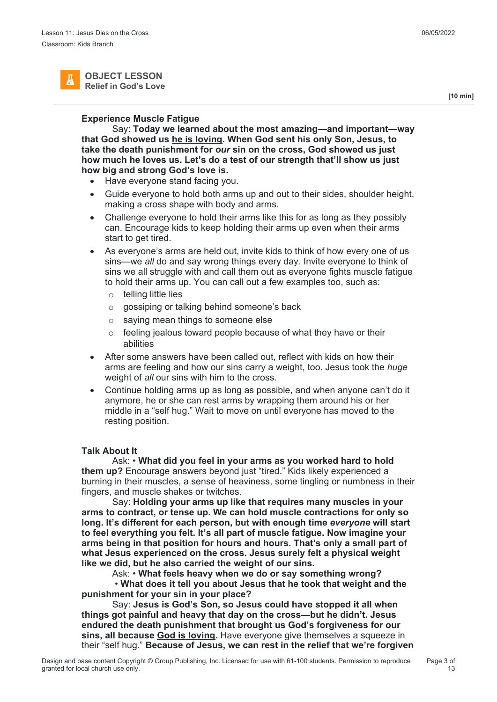

**OBJECT LESSON Relief in God's Love**

## **Experience Muscle Fatigue**

 Say: **Today we learned about the most amazing—and important—way that God showed us he is loving. When God sent his only Son, Jesus, to take the death punishment for** *our* **sin on the cross, God showed us just how much he loves us. Let's do a test of our strength that'll show us just how big and strong God's love is.**

- Have everyone stand facing you.
- Guide everyone to hold both arms up and out to their sides, shoulder height, making a cross shape with body and arms.
- Challenge everyone to hold their arms like this for as long as they possibly can. Encourage kids to keep holding their arms up even when their arms start to get tired.
- As everyone's arms are held out, invite kids to think of how every one of us sins—we *all* do and say wrong things every day. Invite everyone to think of sins we all struggle with and call them out as everyone fights muscle fatigue to hold their arms up. You can call out a few examples too, such as:
	- o telling little lies
	- o gossiping or talking behind someone's back
	- o saying mean things to someone else
	- o feeling jealous toward people because of what they have or their abilities
- After some answers have been called out, reflect with kids on how their arms are feeling and how our sins carry a weight, too. Jesus took the *huge* weight of *all* our sins with him to the cross.
- Continue holding arms up as long as possible, and when anyone can't do it anymore, he or she can rest arms by wrapping them around his or her middle in a "self hug." Wait to move on until everyone has moved to the resting position.

## **Talk About It**

 Ask: • **What did you feel in your arms as you worked hard to hold them up?** Encourage answers beyond just "tired." Kids likely experienced a burning in their muscles, a sense of heaviness, some tingling or numbness in their fingers, and muscle shakes or twitches.

 Say: **Holding your arms up like that requires many muscles in your arms to contract, or tense up. We can hold muscle contractions for only so long. It's different for each person, but with enough time** *everyone* **will start to feel everything you felt. It's all part of muscle fatigue. Now imagine your arms being in that position for hours and hours. That's only a small part of what Jesus experienced on the cross. Jesus surely felt a physical weight like we did, but he also carried the weight of our sins.**

Ask: • **What feels heavy when we do or say something wrong?**

 • **What does it tell you about Jesus that he took that weight and the punishment for your sin in your place?**

 Say: **Jesus is God's Son, so Jesus could have stopped it all when things got painful and heavy that day on the cross—but he didn't. Jesus endured the death punishment that brought us God's forgiveness for our sins, all because God is loving.** Have everyone give themselves a squeeze in their "self hug." **Because of Jesus, we can rest in the relief that we're forgiven** **[10 min]**